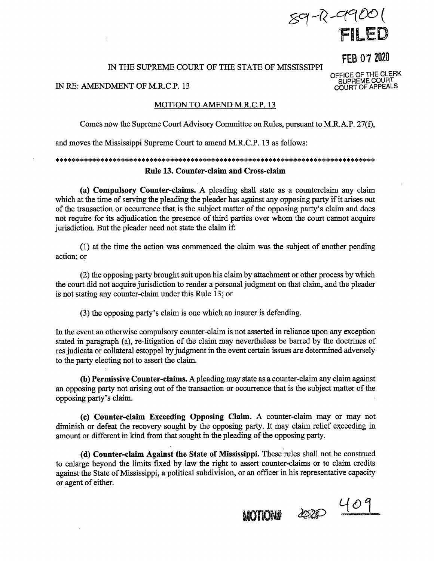$89 - R - 9900$ 1 FILED

FEB 07 2020

OFFICE OF THE CLERK SUPREME COURT COURT OF APPEALS

# IN THE SUPREME COURT OF THE STATE OF MISSISSIPPI

## IN RE: AMENDMENT OF M.R.C.P. 13

## MOTION TO AMEND M.R.C.P. 13

Comes now the Supreme Court Advisory Committee on Rules, pursuant to M.R.A.P. 27(f),

and moves the Mississippi Supreme Court to amend M.R.C.P. 13 as follows:

# \*\*\*\*\*\*\*\*\*\*\*\*\*\*\*\*\*\*\*\*\*\*\*\*\*\*\*\*\*\*\*\*\*\*\*\*\*\*\*\*\*\*\*\*\*\*\*\*\*\*\*\*\*\*\*\*\*\*\*\*\*\*\*\*\*\*\*\*\*\*\*\*\*\*\*\*\*\* **Rule 13. Counter-claim and Cross-claim**

(a) **Compulsory Counter-claims.** A pleading shall state as a counterclaim any claim which at the time of serving the pleading the pleader has against any opposing party if it arises out of the transaction or occurrence that is the subject matter of the opposing party's claim and does not require for its adjudication the presence of third parties over whom the court cannot acquire jurisdiction. But the pleader need not state the claim if:

(1) at the time the action was commenced the claim was the subject of another pending action; or

(2) the opposing party brought suit upon his claim by attachment or other process by which the court did not acquire jurisdiction to render a personal judgment on that claim, and the pleader is not stating any counter-claim under this Rule 13; or

(3) the opposing party's claim is one which an insurer is defending.

In the event an otherwise compulsory counter-claim is not asserted in reliance upon any exception stated in paragraph (a), re-litigation of the claim may nevertheless be barred by the doctrines of res judicata or collateral estoppel by judgment in the event certain issues are determined adversely to the party electing not to assert the claim.

**(b) Permissive Counter-claims.** A pleading may state as a counter-claim any claim against an opposing party not arising out of the transaction or occurrence that is the subject matter of the opposing party's claim.

**(c) Counter-claim Exceeding Opposing Claim.** A counter-claim may or may not diminish or defeat the recovery sought by the opposing party. It may claim relief exceeding in amount or different in kind from that sought in the pleading of the opposing party.

( **d) Counter-claim Against the State of Mississippi.** These rules shall not be construed to enlarge beyond the limits fixed by law the right to assert counter-claims or to claim credits against the State of Mississippi, a political subdivision, or an officer in his representative capacity or agent of either.

 $MOTIONH$   $4020$   $409$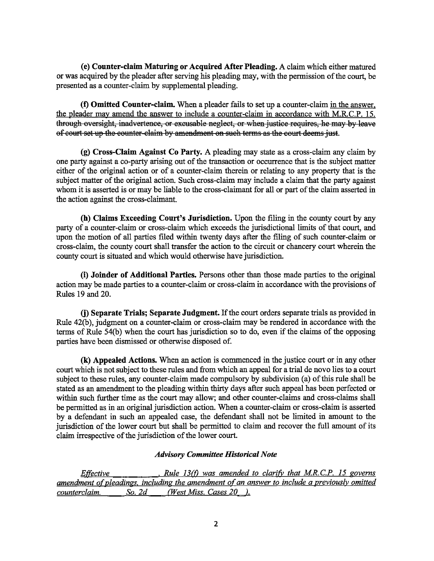**(e) Counter-claim Maturing or Acquired Mter Pleading.** A claim which either matured or was acquired by the pleader after serving his pleading may, with the permission of the court, be presented as a counter-claim by supplemental pleading.

**(t) Omitted Counter-claim.** When a pleader fails to set up a counter-claim in the answer, the pleader may amend the answer to include a counter-claim in accordance with M.RC.P. 15. through oversight, inadvertence, or excusable neglect, or when justice requires, he may by leave of court set up the counter-claim by amendment on such terms as the court deems just.

**(g) Cross-Claim Against Co Party.** A pleading may state as a cross-claim any claim by one party against a.co-party arising out of the transaction or occurrence that is the subject matter either of the original action or of a counter-claim therein or relating to any property that is the subject matter of the original action. Such cross-claim may include a claim that the party against whom it is asserted is or may be liable to the cross-claimant for all or part of the claim asserted in the action against the cross-claimant.

**(h) Claims Exceeding Court's Jurisdiction.** Upon the filing in the county court by any party of a counter-claim or cross-claim which exceeds the jurisdictional limits of that court, and upon the motion of all parties filed within twenty days after the filing of such counter-claim or cross-claim, the county court shall transfer the action to the circuit or chancery court wherein the county court is situated and which would otherwise have jurisdiction.

(i) **Joinder of Additional Parties.** Persons other than those made parties to the original action may be made parties to a counter-claim or cross-claim in accordance with the provisions of Rules 19 and 20.

**G) Separate Trials; Separate Judgment.** If the court orders separate trials as provided in Rule 42(b), judgment on a counter-claim or cross-claim may be rendered in accordance with the terms of Rule 54(b) when the court has jurisdiction so to do, even if the claims of the opposing parties have been dismissed or otherwise disposed of.

**(k) Appealed Actions.** When an action is commenced in the justice court or in any other court which is not subject to these rules and from which an appeal for a trial de novo lies to a court subject to these rules, any counter-claim made compulsory by subdivision (a) of this rule shall be stated as an amendment to the pleading within thirty days after such appeal has been perfected or within such further time as the court may allow; and other counter-claims and cross-claims shall be permitted as in an original jurisdiction action. When a counter-claim or cross-claim is asserted by a defendant in such an appealed case, the defendant shall not be limited in amount to the jurisdiction of the lower court but shall be permitted to claim and recover the full amount of its claim irrespective of the jurisdiction of the lower court.

# *Advisory Committee Historical Note*

*Effective* **•** *Rule 13(f)* was amended to clarify that M.R.C.P. 15 governs *amendment of pleadings, including the amendment of an answer to include a previously omitted counterclaim. So. 2d (West Miss. Cases 20 ).*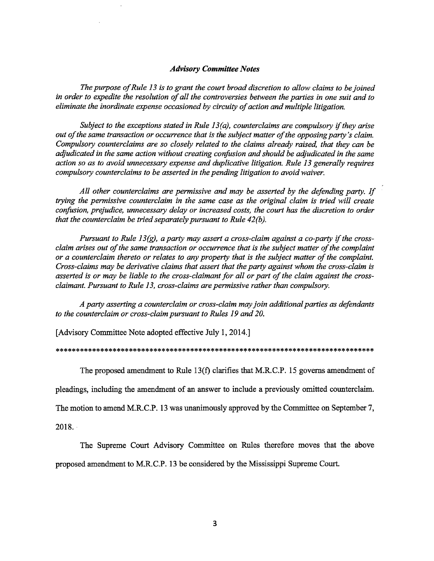## *Advisory Committee Notes*

*The purpose of Rule 13 is to grant the court broad discretion to allow claims to be joined in order to expedite the resolution of all the controversies between the parties in one suit and to eliminate the inordinate expense occasioned by circuity of action and multiple litigation.* 

*Subject to the exceptions stated in Rule 13(a), counterclaims are compulsory if they arise out of the same transaction or occurrence that is the subject matter of the opposing party's claim. Compulsory counterclaims are so closely related to the claims already raised, that they can be adjudicated in the same action without creating confusion and should be adjudicated in the same action so as to avoid unnecessary expense and duplicative litigation. Rule 13 generally requires compulsory counterclaims to be asserted in the pending litigation to avoid waiver.* 

*All other counterclaims are permissive and may be asserted by the defending party. If trying the permissive counterclaim in the same case as the original claim is tried will create confusion, prejudice, unnecessary delay or increased costs, the court has the discretion to order that the counterclaim be tried separately pursuant to Rule 42(b).* 

*Pursuant to Rule 13(g), a party may assert a cross-claim against a co-party if the crossclaim arises out of the same transaction or occurrence that is the subject matter of the complaint or a counterclaim thereto or relates to any property that is the subject matter of the complaint. Cross-claims may be derivative claims that assert that the party against whom the cross-claim is asserted is or may be liable to the cross-claimant for all or part of the claim against the crossclaimant. Pursuant to Rule 13, cross-claims are permissive rather than compulsory.* 

*A party asserting a counterclaim or cross-claim may join additional parties as defendants to the counterclaim or cross-claim pursuant to Rules 19 and 20.* 

[Advisory Committee Note adopted effective July 1, 2014.]

#### \*\*\*\*\*\*\*\*\*\*\*\*\*\*\*\*\*\*\*\*\*\*\*\*\*\*\*\*\*\*\*\*\*\*\*\*\*\*\*\*\*\*\*\*\*\*\*\*\*\*\*\*\*\*\*\*\*\*\*\*\*\*\*\*\*\*\*\*\*\*\*\*\*\*\*\*\*\*

The proposed amendment to Rule 13(f) clarifies that M.R.C.P. 15 governs amendment of

pleadings, including the amendment of an answer to include a previously omitted counterclaim.

The motion to amend M.R.C.P. 13 was unanimously approved by the Committee on September 7,

2018. ·

The Supreme Court Advisory Committee on Rules therefore moves that the above proposed amendment to M.R.C.P. 13 be considered by the Mississippi Supreme Court.